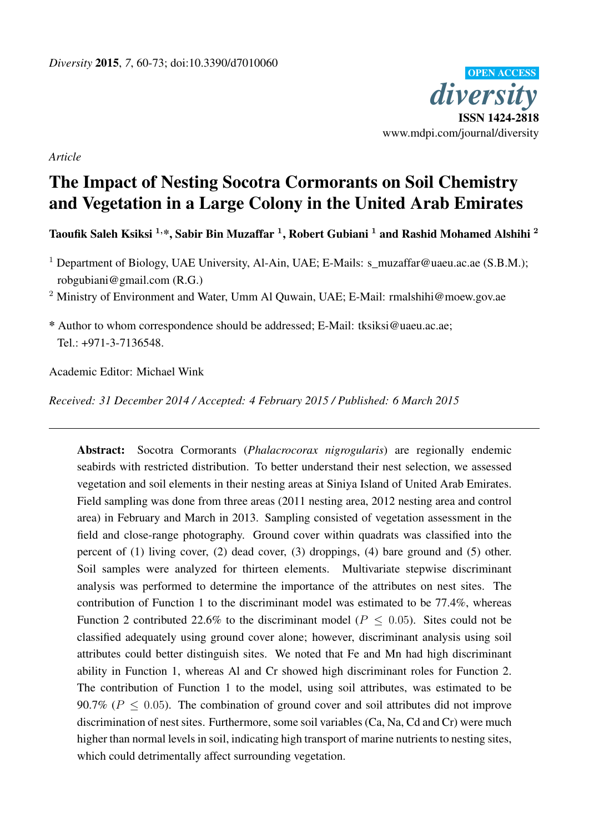

*Article*

# The Impact of Nesting Socotra Cormorants on Soil Chemistry and Vegetation in a Large Colony in the United Arab Emirates

Taoufik Saleh Ksiksi  $^{1,\ast},$  Sabir Bin Muzaffar  $^{1},$  Robert Gubiani  $^{1}$  and Rashid Mohamed Alshihi  $^{2}$ 

<sup>1</sup> Department of Biology, UAE University, Al-Ain, UAE; E-Mails: s\_muzaffar@uaeu.ac.ae (S.B.M.); robgubiani@gmail.com (R.G.)

<sup>2</sup> Ministry of Environment and Water, Umm Al Quwain, UAE; E-Mail: rmalshihi@moew.gov.ae

\* Author to whom correspondence should be addressed; E-Mail: tksiksi@uaeu.ac.ae;  $Tel \cdot +971-3-7136548$ 

Academic Editor: Michael Wink

*Received: 31 December 2014 / Accepted: 4 February 2015 / Published: 6 March 2015*

Abstract: Socotra Cormorants (*Phalacrocorax nigrogularis*) are regionally endemic seabirds with restricted distribution. To better understand their nest selection, we assessed vegetation and soil elements in their nesting areas at Siniya Island of United Arab Emirates. Field sampling was done from three areas (2011 nesting area, 2012 nesting area and control area) in February and March in 2013. Sampling consisted of vegetation assessment in the field and close-range photography. Ground cover within quadrats was classified into the percent of (1) living cover, (2) dead cover, (3) droppings, (4) bare ground and (5) other. Soil samples were analyzed for thirteen elements. Multivariate stepwise discriminant analysis was performed to determine the importance of the attributes on nest sites. The contribution of Function 1 to the discriminant model was estimated to be 77.4%, whereas Function 2 contributed 22.6% to the discriminant model ( $P \le 0.05$ ). Sites could not be classified adequately using ground cover alone; however, discriminant analysis using soil attributes could better distinguish sites. We noted that Fe and Mn had high discriminant ability in Function 1, whereas Al and Cr showed high discriminant roles for Function 2. The contribution of Function 1 to the model, using soil attributes, was estimated to be 90.7% ( $P \le 0.05$ ). The combination of ground cover and soil attributes did not improve discrimination of nest sites. Furthermore, some soil variables (Ca, Na, Cd and Cr) were much higher than normal levels in soil, indicating high transport of marine nutrients to nesting sites, which could detrimentally affect surrounding vegetation.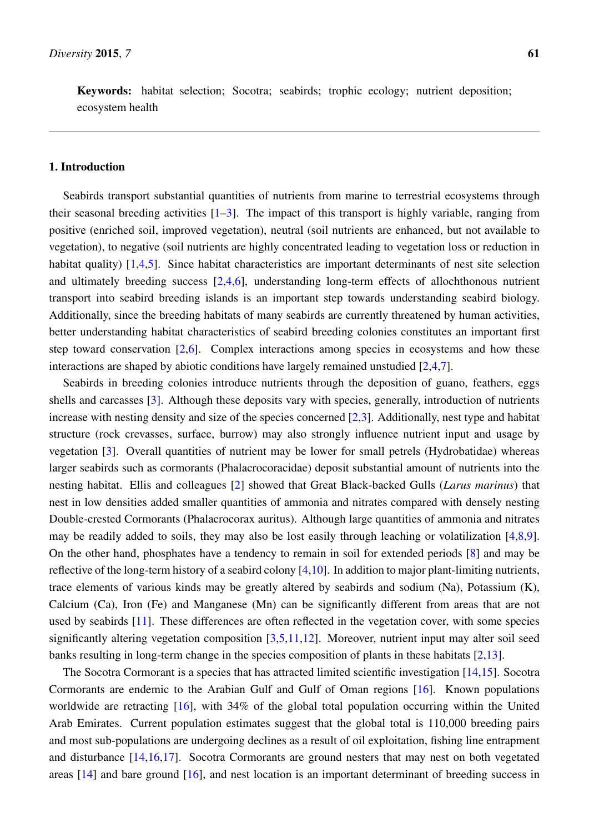Keywords: habitat selection; Socotra; seabirds; trophic ecology; nutrient deposition; ecosystem health

## 1. Introduction

Seabirds transport substantial quantities of nutrients from marine to terrestrial ecosystems through their seasonal breeding activities  $[1-3]$  $[1-3]$ . The impact of this transport is highly variable, ranging from positive (enriched soil, improved vegetation), neutral (soil nutrients are enhanced, but not available to vegetation), to negative (soil nutrients are highly concentrated leading to vegetation loss or reduction in habitat quality) [\[1,](#page-12-0)[4,](#page-12-2)[5\]](#page-12-3). Since habitat characteristics are important determinants of nest site selection and ultimately breeding success [\[2,](#page-12-4)[4,](#page-12-2)[6\]](#page-12-5), understanding long-term effects of allochthonous nutrient transport into seabird breeding islands is an important step towards understanding seabird biology. Additionally, since the breeding habitats of many seabirds are currently threatened by human activities, better understanding habitat characteristics of seabird breeding colonies constitutes an important first step toward conservation [\[2](#page-12-4)[,6\]](#page-12-5). Complex interactions among species in ecosystems and how these interactions are shaped by abiotic conditions have largely remained unstudied [\[2](#page-12-4)[,4](#page-12-2)[,7\]](#page-12-6).

Seabirds in breeding colonies introduce nutrients through the deposition of guano, feathers, eggs shells and carcasses [\[3\]](#page-12-1). Although these deposits vary with species, generally, introduction of nutrients increase with nesting density and size of the species concerned [\[2](#page-12-4)[,3\]](#page-12-1). Additionally, nest type and habitat structure (rock crevasses, surface, burrow) may also strongly influence nutrient input and usage by vegetation [\[3\]](#page-12-1). Overall quantities of nutrient may be lower for small petrels (Hydrobatidae) whereas larger seabirds such as cormorants (Phalacrocoracidae) deposit substantial amount of nutrients into the nesting habitat. Ellis and colleagues [\[2\]](#page-12-4) showed that Great Black-backed Gulls (*Larus marinus*) that nest in low densities added smaller quantities of ammonia and nitrates compared with densely nesting Double-crested Cormorants (Phalacrocorax auritus). Although large quantities of ammonia and nitrates may be readily added to soils, they may also be lost easily through leaching or volatilization [\[4,](#page-12-2)[8,](#page-12-7)[9\]](#page-12-8). On the other hand, phosphates have a tendency to remain in soil for extended periods [\[8\]](#page-12-7) and may be reflective of the long-term history of a seabird colony [\[4,](#page-12-2)[10\]](#page-12-9). In addition to major plant-limiting nutrients, trace elements of various kinds may be greatly altered by seabirds and sodium (Na), Potassium (K), Calcium (Ca), Iron (Fe) and Manganese (Mn) can be significantly different from areas that are not used by seabirds [\[11\]](#page-12-10). These differences are often reflected in the vegetation cover, with some species significantly altering vegetation composition [\[3](#page-12-1)[,5](#page-12-3)[,11,](#page-12-10)[12\]](#page-12-11). Moreover, nutrient input may alter soil seed banks resulting in long-term change in the species composition of plants in these habitats [\[2,](#page-12-4)[13\]](#page-12-12).

The Socotra Cormorant is a species that has attracted limited scientific investigation [\[14,](#page-13-0)[15\]](#page-13-1). Socotra Cormorants are endemic to the Arabian Gulf and Gulf of Oman regions [\[16\]](#page-13-2). Known populations worldwide are retracting [\[16\]](#page-13-2), with 34% of the global total population occurring within the United Arab Emirates. Current population estimates suggest that the global total is 110,000 breeding pairs and most sub-populations are undergoing declines as a result of oil exploitation, fishing line entrapment and disturbance [\[14,](#page-13-0)[16,](#page-13-2)[17\]](#page-13-3). Socotra Cormorants are ground nesters that may nest on both vegetated areas [\[14\]](#page-13-0) and bare ground [\[16\]](#page-13-2), and nest location is an important determinant of breeding success in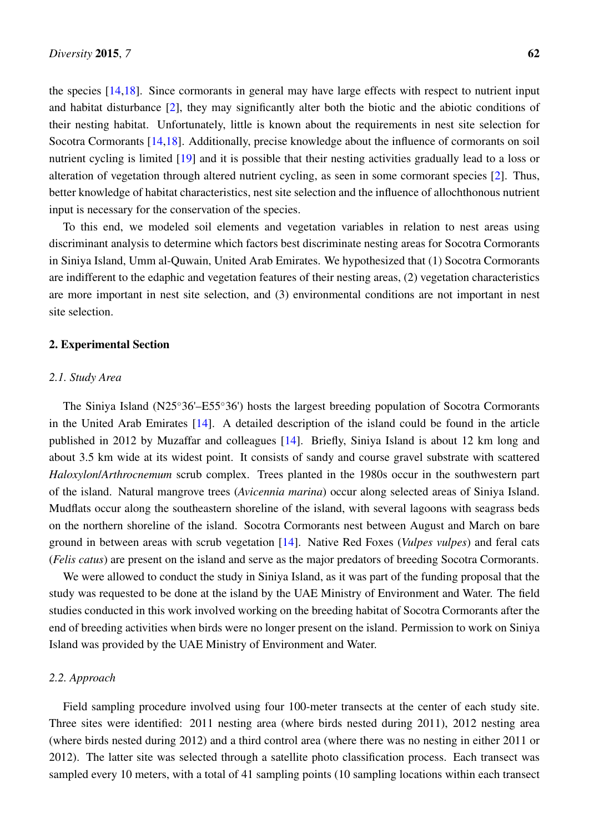the species [\[14](#page-13-0)[,18\]](#page-13-4). Since cormorants in general may have large effects with respect to nutrient input and habitat disturbance [\[2\]](#page-12-4), they may significantly alter both the biotic and the abiotic conditions of their nesting habitat. Unfortunately, little is known about the requirements in nest site selection for Socotra Cormorants [\[14,](#page-13-0)[18\]](#page-13-4). Additionally, precise knowledge about the influence of cormorants on soil nutrient cycling is limited [\[19\]](#page-13-5) and it is possible that their nesting activities gradually lead to a loss or alteration of vegetation through altered nutrient cycling, as seen in some cormorant species [\[2\]](#page-12-4). Thus, better knowledge of habitat characteristics, nest site selection and the influence of allochthonous nutrient input is necessary for the conservation of the species.

To this end, we modeled soil elements and vegetation variables in relation to nest areas using discriminant analysis to determine which factors best discriminate nesting areas for Socotra Cormorants in Siniya Island, Umm al-Quwain, United Arab Emirates. We hypothesized that (1) Socotra Cormorants are indifferent to the edaphic and vegetation features of their nesting areas, (2) vegetation characteristics are more important in nest site selection, and (3) environmental conditions are not important in nest site selection.

#### 2. Experimental Section

#### *2.1. Study Area*

The Siniya Island (N25◦36'–E55◦36') hosts the largest breeding population of Socotra Cormorants in the United Arab Emirates [\[14\]](#page-13-0). A detailed description of the island could be found in the article published in 2012 by Muzaffar and colleagues [\[14\]](#page-13-0). Briefly, Siniya Island is about 12 km long and about 3.5 km wide at its widest point. It consists of sandy and course gravel substrate with scattered *Haloxylon*/*Arthrocnemum* scrub complex. Trees planted in the 1980s occur in the southwestern part of the island. Natural mangrove trees (*Avicennia marina*) occur along selected areas of Siniya Island. Mudflats occur along the southeastern shoreline of the island, with several lagoons with seagrass beds on the northern shoreline of the island. Socotra Cormorants nest between August and March on bare ground in between areas with scrub vegetation [\[14\]](#page-13-0). Native Red Foxes (*Vulpes vulpes*) and feral cats (*Felis catus*) are present on the island and serve as the major predators of breeding Socotra Cormorants.

We were allowed to conduct the study in Siniya Island, as it was part of the funding proposal that the study was requested to be done at the island by the UAE Ministry of Environment and Water. The field studies conducted in this work involved working on the breeding habitat of Socotra Cormorants after the end of breeding activities when birds were no longer present on the island. Permission to work on Siniya Island was provided by the UAE Ministry of Environment and Water.

## *2.2. Approach*

Field sampling procedure involved using four 100-meter transects at the center of each study site. Three sites were identified: 2011 nesting area (where birds nested during 2011), 2012 nesting area (where birds nested during 2012) and a third control area (where there was no nesting in either 2011 or 2012). The latter site was selected through a satellite photo classification process. Each transect was sampled every 10 meters, with a total of 41 sampling points (10 sampling locations within each transect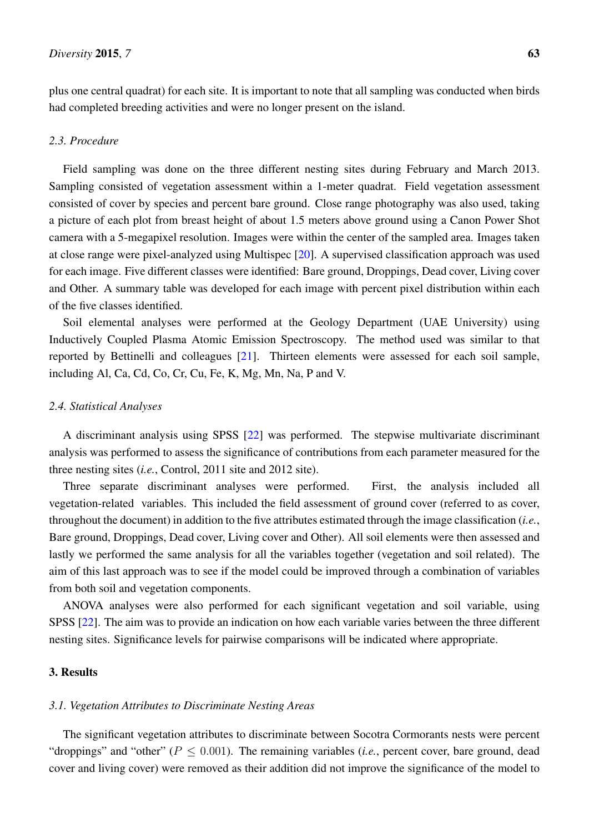plus one central quadrat) for each site. It is important to note that all sampling was conducted when birds had completed breeding activities and were no longer present on the island.

## *2.3. Procedure*

Field sampling was done on the three different nesting sites during February and March 2013. Sampling consisted of vegetation assessment within a 1-meter quadrat. Field vegetation assessment consisted of cover by species and percent bare ground. Close range photography was also used, taking a picture of each plot from breast height of about 1.5 meters above ground using a Canon Power Shot camera with a 5-megapixel resolution. Images were within the center of the sampled area. Images taken at close range were pixel-analyzed using Multispec [\[20\]](#page-13-6). A supervised classification approach was used for each image. Five different classes were identified: Bare ground, Droppings, Dead cover, Living cover and Other. A summary table was developed for each image with percent pixel distribution within each of the five classes identified.

Soil elemental analyses were performed at the Geology Department (UAE University) using Inductively Coupled Plasma Atomic Emission Spectroscopy. The method used was similar to that reported by Bettinelli and colleagues [\[21\]](#page-13-7). Thirteen elements were assessed for each soil sample, including Al, Ca, Cd, Co, Cr, Cu, Fe, K, Mg, Mn, Na, P and V.

### *2.4. Statistical Analyses*

A discriminant analysis using SPSS [\[22\]](#page-13-8) was performed. The stepwise multivariate discriminant analysis was performed to assess the significance of contributions from each parameter measured for the three nesting sites (*i.e.*, Control, 2011 site and 2012 site).

Three separate discriminant analyses were performed. First, the analysis included all vegetation-related variables. This included the field assessment of ground cover (referred to as cover, throughout the document) in addition to the five attributes estimated through the image classification (*i.e.*, Bare ground, Droppings, Dead cover, Living cover and Other). All soil elements were then assessed and lastly we performed the same analysis for all the variables together (vegetation and soil related). The aim of this last approach was to see if the model could be improved through a combination of variables from both soil and vegetation components.

ANOVA analyses were also performed for each significant vegetation and soil variable, using SPSS [\[22\]](#page-13-8). The aim was to provide an indication on how each variable varies between the three different nesting sites. Significance levels for pairwise comparisons will be indicated where appropriate.

### 3. Results

#### *3.1. Vegetation Attributes to Discriminate Nesting Areas*

The significant vegetation attributes to discriminate between Socotra Cormorants nests were percent "droppings" and "other" ( $P \le 0.001$ ). The remaining variables (*i.e.*, percent cover, bare ground, dead cover and living cover) were removed as their addition did not improve the significance of the model to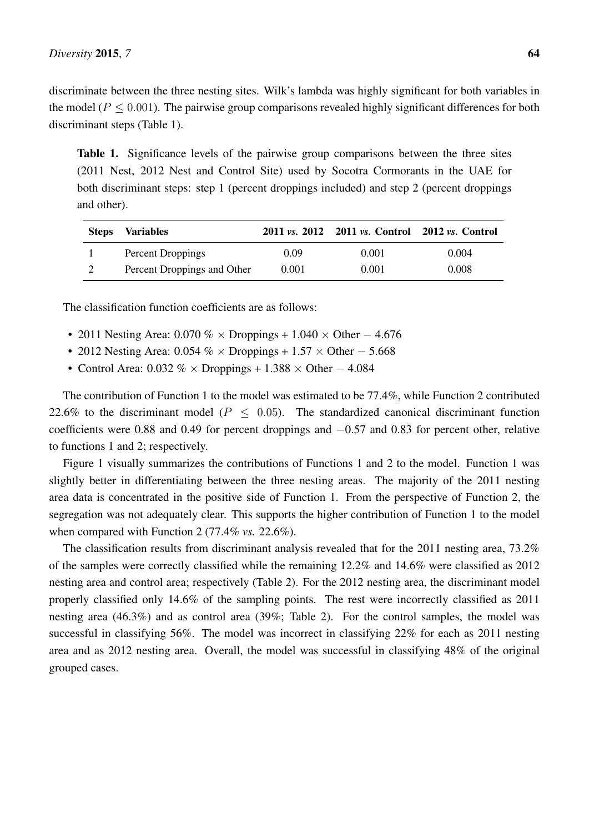discriminate between the three nesting sites. Wilk's lambda was highly significant for both variables in the model ( $P \leq 0.001$ ). The pairwise group comparisons revealed highly significant differences for both discriminant steps (Table 1).

Table 1. Significance levels of the pairwise group comparisons between the three sites (2011 Nest, 2012 Nest and Control Site) used by Socotra Cormorants in the UAE for both discriminant steps: step 1 (percent droppings included) and step 2 (percent droppings and other).

| <b>Steps</b> | <b>Variables</b>            |       | 2011 vs. 2012 2011 vs. Control 2012 vs. Control |       |
|--------------|-----------------------------|-------|-------------------------------------------------|-------|
|              | Percent Droppings           | 0.09  | 0.001                                           | 0.004 |
|              | Percent Droppings and Other | 0.001 | 0.001                                           | 0.008 |

The classification function coefficients are as follows:

- 2011 Nesting Area: 0.070 % × Droppings + 1.040 × Other  $-4.676$
- 2012 Nesting Area: 0.054 % × Droppings + 1.57 × Other 5.668
- Control Area:  $0.032\% \times$  Droppings + 1.388  $\times$  Other 4.084

The contribution of Function 1 to the model was estimated to be 77.4%, while Function 2 contributed 22.6% to the discriminant model ( $P \leq 0.05$ ). The standardized canonical discriminant function coefficients were 0.88 and 0.49 for percent droppings and −0.57 and 0.83 for percent other, relative to functions 1 and 2; respectively.

Figure 1 visually summarizes the contributions of Functions 1 and 2 to the model. Function 1 was slightly better in differentiating between the three nesting areas. The majority of the 2011 nesting area data is concentrated in the positive side of Function 1. From the perspective of Function 2, the segregation was not adequately clear. This supports the higher contribution of Function 1 to the model when compared with Function 2 (77.4% *vs.* 22.6%).

The classification results from discriminant analysis revealed that for the 2011 nesting area, 73.2% of the samples were correctly classified while the remaining 12.2% and 14.6% were classified as 2012 nesting area and control area; respectively (Table 2). For the 2012 nesting area, the discriminant model properly classified only 14.6% of the sampling points. The rest were incorrectly classified as 2011 nesting area (46.3%) and as control area (39%; Table 2). For the control samples, the model was successful in classifying 56%. The model was incorrect in classifying 22% for each as 2011 nesting area and as 2012 nesting area. Overall, the model was successful in classifying 48% of the original grouped cases.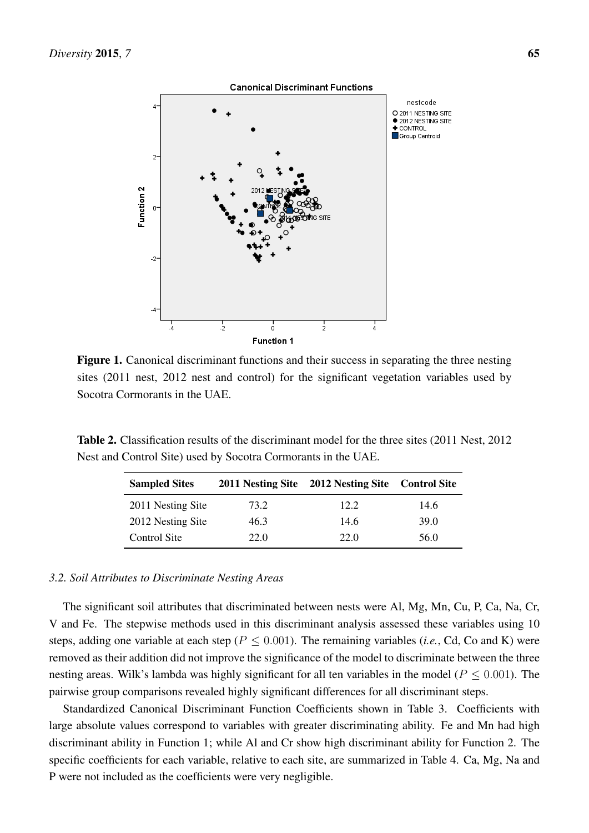

Figure 1. Canonical discriminant functions and their success in separating the three nesting sites (2011 nest, 2012 nest and control) for the significant vegetation variables used by Socotra Cormorants in the UAE.

Table 2. Classification results of the discriminant model for the three sites (2011 Nest, 2012 Nest and Control Site) used by Socotra Cormorants in the UAE.

| <b>Sampled Sites</b> |      | 2011 Nesting Site 2012 Nesting Site Control Site |      |
|----------------------|------|--------------------------------------------------|------|
| 2011 Nesting Site    | 73.2 | 12.2                                             | 14.6 |
| 2012 Nesting Site    | 46.3 | 14.6                                             | 39.0 |
| Control Site         | 22.0 | 22.0                                             | 56.0 |

#### *3.2. Soil Attributes to Discriminate Nesting Areas*

The significant soil attributes that discriminated between nests were Al, Mg, Mn, Cu, P, Ca, Na, Cr, V and Fe. The stepwise methods used in this discriminant analysis assessed these variables using 10 steps, adding one variable at each step ( $P \le 0.001$ ). The remaining variables (*i.e.*, Cd, Co and K) were removed as their addition did not improve the significance of the model to discriminate between the three nesting areas. Wilk's lambda was highly significant for all ten variables in the model ( $P \le 0.001$ ). The pairwise group comparisons revealed highly significant differences for all discriminant steps.

Standardized Canonical Discriminant Function Coefficients shown in Table 3. Coefficients with large absolute values correspond to variables with greater discriminating ability. Fe and Mn had high discriminant ability in Function 1; while Al and Cr show high discriminant ability for Function 2. The specific coefficients for each variable, relative to each site, are summarized in Table 4. Ca, Mg, Na and P were not included as the coefficients were very negligible.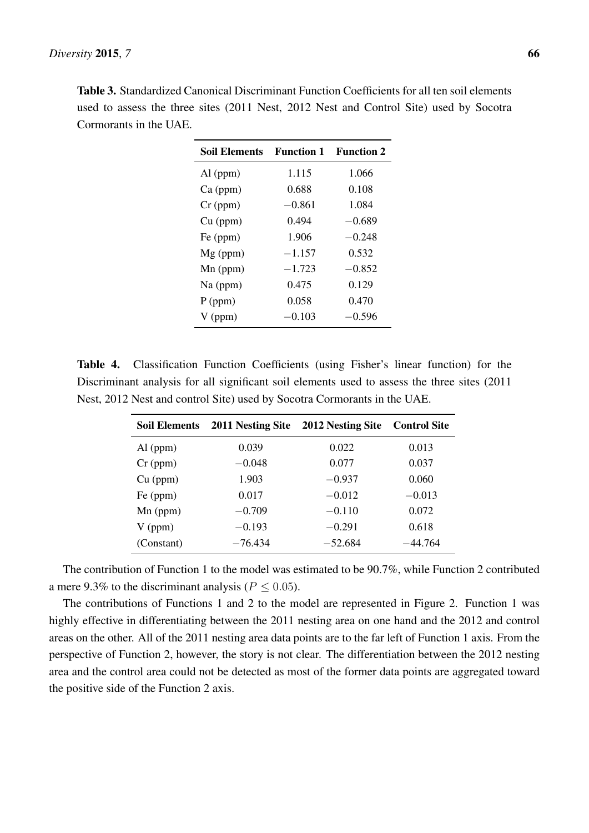| <b>Function 1</b> | <b>Function 2</b> |
|-------------------|-------------------|
| 1.115             | 1.066             |
| 0.688             | 0.108             |
| $-0.861$          | 1.084             |
| 0.494             | $-0.689$          |
| 1.906             | $-0.248$          |
| $-1.157$          | 0.532             |
| $-1.723$          | $-0.852$          |
| 0.475             | 0.129             |
| 0.058             | 0.470             |
| $-0.103$          | $-0.596$          |
|                   |                   |

Table 3. Standardized Canonical Discriminant Function Coefficients for all ten soil elements used to assess the three sites (2011 Nest, 2012 Nest and Control Site) used by Socotra Cormorants in the UAE.

Table 4. Classification Function Coefficients (using Fisher's linear function) for the Discriminant analysis for all significant soil elements used to assess the three sites (2011 Nest, 2012 Nest and control Site) used by Socotra Cormorants in the UAE.

| <b>Soil Elements</b> | 2011 Nesting Site | 2012 Nesting Site | <b>Control Site</b> |
|----------------------|-------------------|-------------------|---------------------|
| $Al$ (ppm)           | 0.039             | 0.022             | 0.013               |
| $Cr$ (ppm)           | $-0.048$          | 0.077             | 0.037               |
| $Cu$ (ppm)           | 1.903             | $-0.937$          | 0.060               |
| Fe (ppm)             | 0.017             | $-0.012$          | $-0.013$            |
| $Mn$ (ppm)           | $-0.709$          | $-0.110$          | 0.072               |
| $V$ (ppm)            | $-0.193$          | $-0.291$          | 0.618               |
| (Constant)           | $-76.434$         | $-52.684$         | $-44.764$           |

The contribution of Function 1 to the model was estimated to be 90.7%, while Function 2 contributed a mere 9.3% to the discriminant analysis ( $P < 0.05$ ).

The contributions of Functions 1 and 2 to the model are represented in Figure 2. Function 1 was highly effective in differentiating between the 2011 nesting area on one hand and the 2012 and control areas on the other. All of the 2011 nesting area data points are to the far left of Function 1 axis. From the perspective of Function 2, however, the story is not clear. The differentiation between the 2012 nesting area and the control area could not be detected as most of the former data points are aggregated toward the positive side of the Function 2 axis.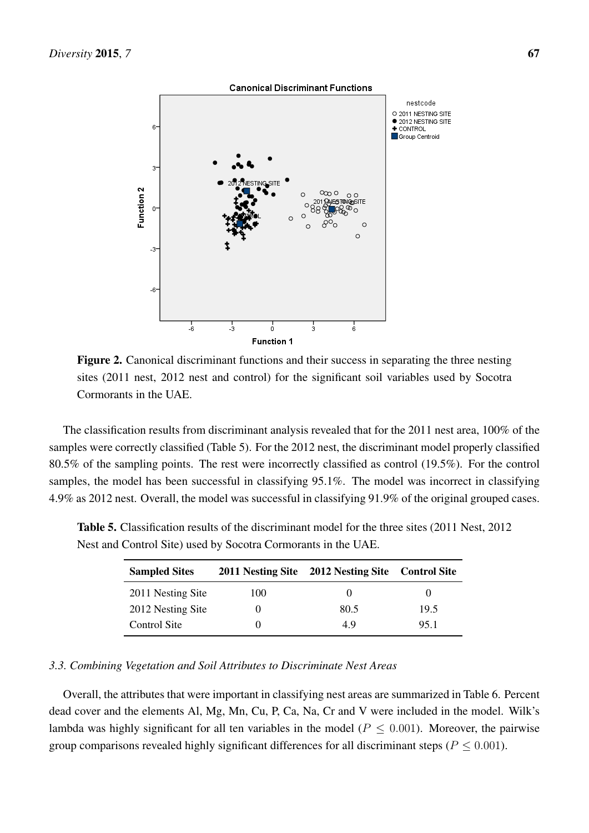

Figure 2. Canonical discriminant functions and their success in separating the three nesting sites (2011 nest, 2012 nest and control) for the significant soil variables used by Socotra Cormorants in the UAE.

The classification results from discriminant analysis revealed that for the 2011 nest area, 100% of the samples were correctly classified (Table 5). For the 2012 nest, the discriminant model properly classified 80.5% of the sampling points. The rest were incorrectly classified as control (19.5%). For the control samples, the model has been successful in classifying 95.1%. The model was incorrect in classifying 4.9% as 2012 nest. Overall, the model was successful in classifying 91.9% of the original grouped cases.

| <b>Sampled Sites</b> |     | 2011 Nesting Site 2012 Nesting Site Control Site |      |
|----------------------|-----|--------------------------------------------------|------|
| 2011 Nesting Site    | 100 |                                                  |      |
| 2012 Nesting Site    |     | 80.5                                             | 19.5 |
| Control Site         |     | 49                                               | 951  |

Table 5. Classification results of the discriminant model for the three sites (2011 Nest, 2012 Nest and Control Site) used by Socotra Cormorants in the UAE.

## *3.3. Combining Vegetation and Soil Attributes to Discriminate Nest Areas*

Overall, the attributes that were important in classifying nest areas are summarized in Table 6. Percent dead cover and the elements Al, Mg, Mn, Cu, P, Ca, Na, Cr and V were included in the model. Wilk's lambda was highly significant for all ten variables in the model ( $P \leq 0.001$ ). Moreover, the pairwise group comparisons revealed highly significant differences for all discriminant steps ( $P \le 0.001$ ).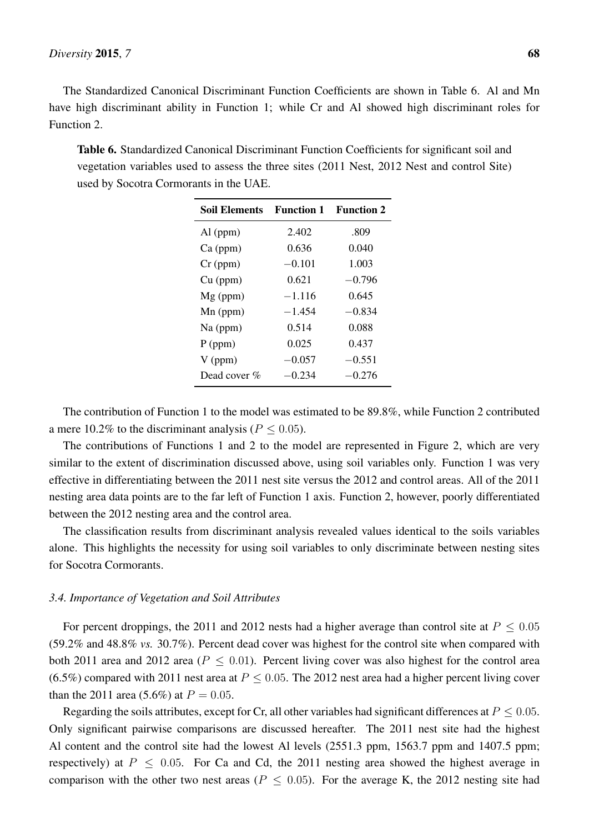The Standardized Canonical Discriminant Function Coefficients are shown in Table 6. Al and Mn have high discriminant ability in Function 1; while Cr and Al showed high discriminant roles for Function 2.

Table 6. Standardized Canonical Discriminant Function Coefficients for significant soil and vegetation variables used to assess the three sites (2011 Nest, 2012 Nest and control Site) used by Socotra Cormorants in the UAE.

| <b>Soil Elements</b> | <b>Function 1</b> | <b>Function 2</b> |
|----------------------|-------------------|-------------------|
| $Al$ (ppm)           | 2.402             | .809              |
| $Ca$ (ppm)           | 0.636             | 0.040             |
| $Cr$ (ppm)           | $-0.101$          | 1.003             |
| $Cu$ (ppm)           | 0.621             | $-0.796$          |
| $Mg$ (ppm)           | $-1.116$          | 0.645             |
| $Mn$ (ppm)           | $-1.454$          | $-0.834$          |
| Na (ppm)             | 0.514             | 0.088             |
| $P$ (ppm)            | 0.025             | 0.437             |
| $V$ (ppm)            | $-0.057$          | $-0.551$          |
| Dead cover %         | $-0.234$          | $-0.276$          |

The contribution of Function 1 to the model was estimated to be 89.8%, while Function 2 contributed a mere 10.2% to the discriminant analysis ( $P \le 0.05$ ).

The contributions of Functions 1 and 2 to the model are represented in Figure 2, which are very similar to the extent of discrimination discussed above, using soil variables only. Function 1 was very effective in differentiating between the 2011 nest site versus the 2012 and control areas. All of the 2011 nesting area data points are to the far left of Function 1 axis. Function 2, however, poorly differentiated between the 2012 nesting area and the control area.

The classification results from discriminant analysis revealed values identical to the soils variables alone. This highlights the necessity for using soil variables to only discriminate between nesting sites for Socotra Cormorants.

#### *3.4. Importance of Vegetation and Soil Attributes*

For percent droppings, the 2011 and 2012 nests had a higher average than control site at  $P < 0.05$ (59.2% and 48.8% *vs.* 30.7%). Percent dead cover was highest for the control site when compared with both 2011 area and 2012 area ( $P < 0.01$ ). Percent living cover was also highest for the control area (6.5%) compared with 2011 nest area at  $P \le 0.05$ . The 2012 nest area had a higher percent living cover than the 2011 area (5.6%) at  $P = 0.05$ .

Regarding the soils attributes, except for Cr, all other variables had significant differences at  $P \le 0.05$ . Only significant pairwise comparisons are discussed hereafter. The 2011 nest site had the highest Al content and the control site had the lowest Al levels (2551.3 ppm, 1563.7 ppm and 1407.5 ppm; respectively) at  $P \le 0.05$ . For Ca and Cd, the 2011 nesting area showed the highest average in comparison with the other two nest areas ( $P \leq 0.05$ ). For the average K, the 2012 nesting site had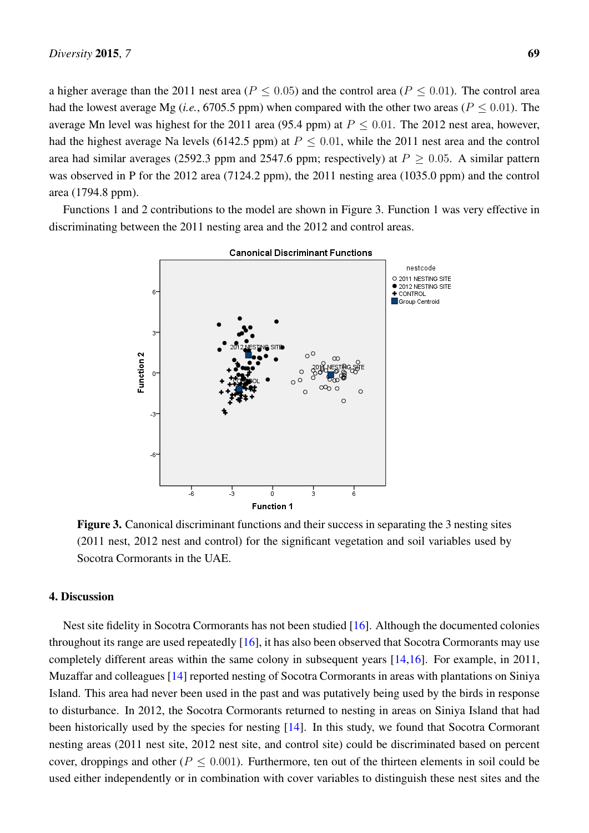a higher average than the 2011 nest area ( $P \le 0.05$ ) and the control area ( $P \le 0.01$ ). The control area had the lowest average Mg (*i.e.*, 6705.5 ppm) when compared with the other two areas ( $P \le 0.01$ ). The average Mn level was highest for the 2011 area (95.4 ppm) at  $P \le 0.01$ . The 2012 nest area, however, had the highest average Na levels (6142.5 ppm) at  $P \le 0.01$ , while the 2011 nest area and the control area had similar averages (2592.3 ppm and 2547.6 ppm; respectively) at  $P \ge 0.05$ . A similar pattern was observed in P for the 2012 area (7124.2 ppm), the 2011 nesting area (1035.0 ppm) and the control area (1794.8 ppm).

Functions 1 and 2 contributions to the model are shown in Figure 3. Function 1 was very effective in discriminating between the 2011 nesting area and the 2012 and control areas.



Figure 3. Canonical discriminant functions and their success in separating the 3 nesting sites (2011 nest, 2012 nest and control) for the significant vegetation and soil variables used by Socotra Cormorants in the UAE.

## 4. Discussion

Nest site fidelity in Socotra Cormorants has not been studied [\[16\]](#page-13-2). Although the documented colonies throughout its range are used repeatedly [\[16\]](#page-13-2), it has also been observed that Socotra Cormorants may use completely different areas within the same colony in subsequent years [\[14,](#page-13-0)[16\]](#page-13-2). For example, in 2011, Muzaffar and colleagues [\[14\]](#page-13-0) reported nesting of Socotra Cormorants in areas with plantations on Siniya Island. This area had never been used in the past and was putatively being used by the birds in response to disturbance. In 2012, the Socotra Cormorants returned to nesting in areas on Siniya Island that had been historically used by the species for nesting [\[14\]](#page-13-0). In this study, we found that Socotra Cormorant nesting areas (2011 nest site, 2012 nest site, and control site) could be discriminated based on percent cover, droppings and other ( $P \leq 0.001$ ). Furthermore, ten out of the thirteen elements in soil could be used either independently or in combination with cover variables to distinguish these nest sites and the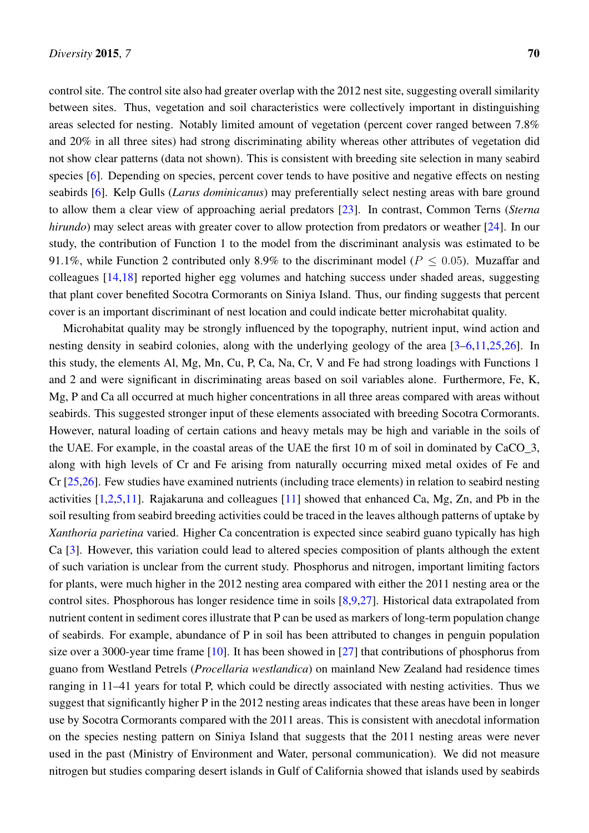control site. The control site also had greater overlap with the 2012 nest site, suggesting overall similarity between sites. Thus, vegetation and soil characteristics were collectively important in distinguishing areas selected for nesting. Notably limited amount of vegetation (percent cover ranged between 7.8% and 20% in all three sites) had strong discriminating ability whereas other attributes of vegetation did not show clear patterns (data not shown). This is consistent with breeding site selection in many seabird species [\[6\]](#page-12-5). Depending on species, percent cover tends to have positive and negative effects on nesting seabirds [\[6\]](#page-12-5). Kelp Gulls (*Larus dominicanus*) may preferentially select nesting areas with bare ground to allow them a clear view of approaching aerial predators [\[23\]](#page-13-9). In contrast, Common Terns (*Sterna hirundo*) may select areas with greater cover to allow protection from predators or weather [\[24\]](#page-13-10). In our study, the contribution of Function 1 to the model from the discriminant analysis was estimated to be 91.1%, while Function 2 contributed only 8.9% to the discriminant model ( $P \le 0.05$ ). Muzaffar and colleagues [\[14](#page-13-0)[,18\]](#page-13-4) reported higher egg volumes and hatching success under shaded areas, suggesting that plant cover benefited Socotra Cormorants on Siniya Island. Thus, our finding suggests that percent

cover is an important discriminant of nest location and could indicate better microhabitat quality.

Microhabitat quality may be strongly influenced by the topography, nutrient input, wind action and nesting density in seabird colonies, along with the underlying geology of the area [\[3](#page-12-1)[–6](#page-12-5)[,11](#page-12-10)[,25,](#page-13-11)[26\]](#page-13-12). In this study, the elements Al, Mg, Mn, Cu, P, Ca, Na, Cr, V and Fe had strong loadings with Functions 1 and 2 and were significant in discriminating areas based on soil variables alone. Furthermore, Fe, K, Mg, P and Ca all occurred at much higher concentrations in all three areas compared with areas without seabirds. This suggested stronger input of these elements associated with breeding Socotra Cormorants. However, natural loading of certain cations and heavy metals may be high and variable in the soils of the UAE. For example, in the coastal areas of the UAE the first 10 m of soil in dominated by CaCO\_3, along with high levels of Cr and Fe arising from naturally occurring mixed metal oxides of Fe and Cr [\[25](#page-13-11)[,26\]](#page-13-12). Few studies have examined nutrients (including trace elements) in relation to seabird nesting activities [\[1](#page-12-0)[,2,](#page-12-4)[5,](#page-12-3)[11\]](#page-12-10). Rajakaruna and colleagues [\[11\]](#page-12-10) showed that enhanced Ca, Mg, Zn, and Pb in the soil resulting from seabird breeding activities could be traced in the leaves although patterns of uptake by *Xanthoria parietina* varied. Higher Ca concentration is expected since seabird guano typically has high Ca [\[3\]](#page-12-1). However, this variation could lead to altered species composition of plants although the extent of such variation is unclear from the current study. Phosphorus and nitrogen, important limiting factors for plants, were much higher in the 2012 nesting area compared with either the 2011 nesting area or the control sites. Phosphorous has longer residence time in soils [\[8](#page-12-7)[,9](#page-12-8)[,27\]](#page-13-13). Historical data extrapolated from nutrient content in sediment cores illustrate that P can be used as markers of long-term population change of seabirds. For example, abundance of P in soil has been attributed to changes in penguin population size over a 3000-year time frame [\[10\]](#page-12-9). It has been showed in [\[27\]](#page-13-13) that contributions of phosphorus from guano from Westland Petrels (*Procellaria westlandica*) on mainland New Zealand had residence times ranging in 11–41 years for total P, which could be directly associated with nesting activities. Thus we suggest that significantly higher P in the 2012 nesting areas indicates that these areas have been in longer use by Socotra Cormorants compared with the 2011 areas. This is consistent with anecdotal information on the species nesting pattern on Siniya Island that suggests that the 2011 nesting areas were never used in the past (Ministry of Environment and Water, personal communication). We did not measure nitrogen but studies comparing desert islands in Gulf of California showed that islands used by seabirds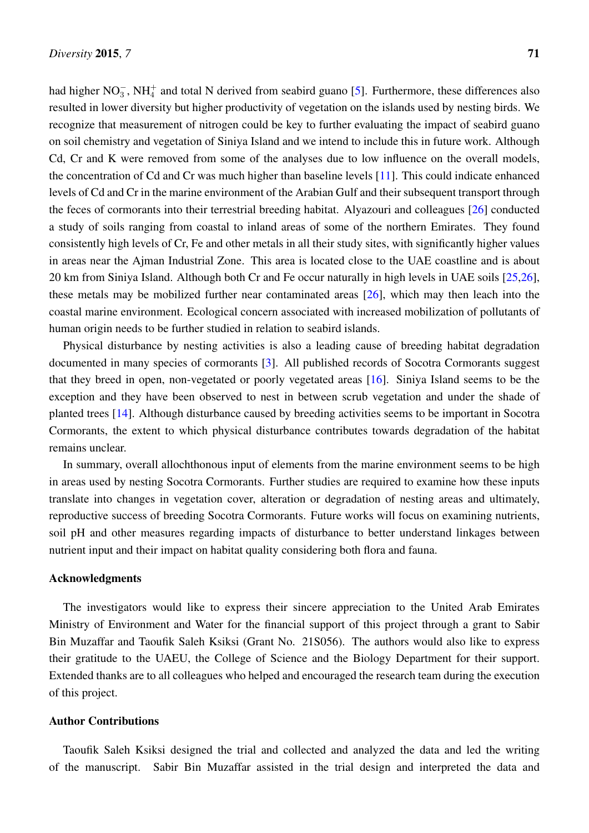had higher NO<sub>3</sub>, NH<sup> $+$ </sup> and total N derived from seabird guano [\[5\]](#page-12-3). Furthermore, these differences also resulted in lower diversity but higher productivity of vegetation on the islands used by nesting birds. We recognize that measurement of nitrogen could be key to further evaluating the impact of seabird guano on soil chemistry and vegetation of Siniya Island and we intend to include this in future work. Although Cd, Cr and K were removed from some of the analyses due to low influence on the overall models, the concentration of Cd and Cr was much higher than baseline levels [\[11\]](#page-12-10). This could indicate enhanced levels of Cd and Cr in the marine environment of the Arabian Gulf and their subsequent transport through the feces of cormorants into their terrestrial breeding habitat. Alyazouri and colleagues [\[26\]](#page-13-12) conducted a study of soils ranging from coastal to inland areas of some of the northern Emirates. They found consistently high levels of Cr, Fe and other metals in all their study sites, with significantly higher values in areas near the Ajman Industrial Zone. This area is located close to the UAE coastline and is about 20 km from Siniya Island. Although both Cr and Fe occur naturally in high levels in UAE soils [\[25,](#page-13-11)[26\]](#page-13-12), these metals may be mobilized further near contaminated areas [\[26\]](#page-13-12), which may then leach into the coastal marine environment. Ecological concern associated with increased mobilization of pollutants of human origin needs to be further studied in relation to seabird islands.

Physical disturbance by nesting activities is also a leading cause of breeding habitat degradation documented in many species of cormorants [\[3\]](#page-12-1). All published records of Socotra Cormorants suggest that they breed in open, non-vegetated or poorly vegetated areas [\[16\]](#page-13-2). Siniya Island seems to be the exception and they have been observed to nest in between scrub vegetation and under the shade of planted trees [\[14\]](#page-13-0). Although disturbance caused by breeding activities seems to be important in Socotra Cormorants, the extent to which physical disturbance contributes towards degradation of the habitat remains unclear.

In summary, overall allochthonous input of elements from the marine environment seems to be high in areas used by nesting Socotra Cormorants. Further studies are required to examine how these inputs translate into changes in vegetation cover, alteration or degradation of nesting areas and ultimately, reproductive success of breeding Socotra Cormorants. Future works will focus on examining nutrients, soil pH and other measures regarding impacts of disturbance to better understand linkages between nutrient input and their impact on habitat quality considering both flora and fauna.

## Acknowledgments

The investigators would like to express their sincere appreciation to the United Arab Emirates Ministry of Environment and Water for the financial support of this project through a grant to Sabir Bin Muzaffar and Taoufik Saleh Ksiksi (Grant No. 21S056). The authors would also like to express their gratitude to the UAEU, the College of Science and the Biology Department for their support. Extended thanks are to all colleagues who helped and encouraged the research team during the execution of this project.

#### Author Contributions

Taoufik Saleh Ksiksi designed the trial and collected and analyzed the data and led the writing of the manuscript. Sabir Bin Muzaffar assisted in the trial design and interpreted the data and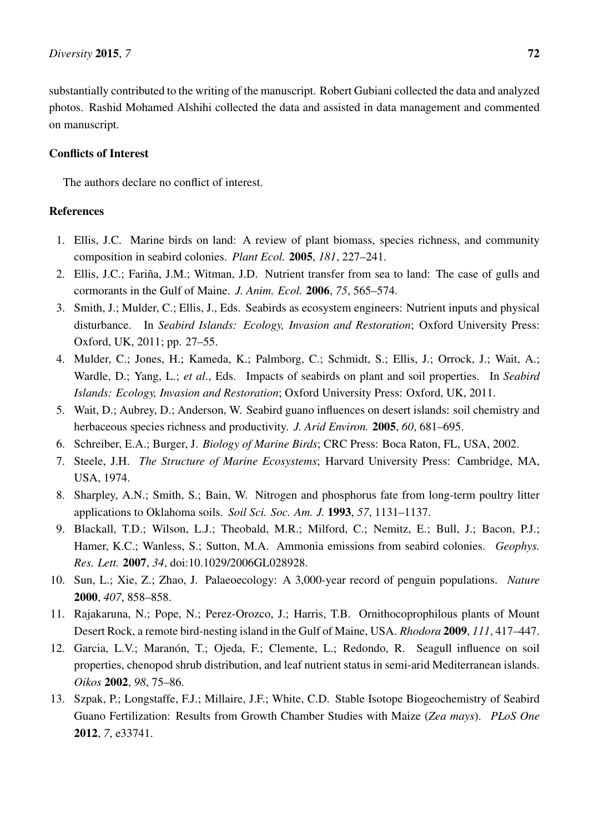substantially contributed to the writing of the manuscript. Robert Gubiani collected the data and analyzed photos. Rashid Mohamed Alshihi collected the data and assisted in data management and commented on manuscript.

## Conflicts of Interest

The authors declare no conflict of interest.

## References

- <span id="page-12-0"></span>1. Ellis, J.C. Marine birds on land: A review of plant biomass, species richness, and community composition in seabird colonies. *Plant Ecol.* 2005, *181*, 227–241.
- <span id="page-12-4"></span>2. Ellis, J.C.; Fariña, J.M.; Witman, J.D. Nutrient transfer from sea to land: The case of gulls and cormorants in the Gulf of Maine. *J. Anim. Ecol.* 2006, *75*, 565–574.
- <span id="page-12-1"></span>3. Smith, J.; Mulder, C.; Ellis, J., Eds. Seabirds as ecosystem engineers: Nutrient inputs and physical disturbance. In *Seabird Islands: Ecology, Invasion and Restoration*; Oxford University Press: Oxford, UK, 2011; pp. 27–55.
- <span id="page-12-2"></span>4. Mulder, C.; Jones, H.; Kameda, K.; Palmborg, C.; Schmidt, S.; Ellis, J.; Orrock, J.; Wait, A.; Wardle, D.; Yang, L.; *et al*., Eds. Impacts of seabirds on plant and soil properties. In *Seabird Islands: Ecology, Invasion and Restoration*; Oxford University Press: Oxford, UK, 2011.
- <span id="page-12-3"></span>5. Wait, D.; Aubrey, D.; Anderson, W. Seabird guano influences on desert islands: soil chemistry and herbaceous species richness and productivity. *J. Arid Environ.* 2005, *60*, 681–695.
- <span id="page-12-5"></span>6. Schreiber, E.A.; Burger, J. *Biology of Marine Birds*; CRC Press: Boca Raton, FL, USA, 2002.
- <span id="page-12-6"></span>7. Steele, J.H. *The Structure of Marine Ecosystems*; Harvard University Press: Cambridge, MA, USA, 1974.
- <span id="page-12-7"></span>8. Sharpley, A.N.; Smith, S.; Bain, W. Nitrogen and phosphorus fate from long-term poultry litter applications to Oklahoma soils. *Soil Sci. Soc. Am. J.* 1993, *57*, 1131–1137.
- <span id="page-12-8"></span>9. Blackall, T.D.; Wilson, L.J.; Theobald, M.R.; Milford, C.; Nemitz, E.; Bull, J.; Bacon, P.J.; Hamer, K.C.; Wanless, S.; Sutton, M.A. Ammonia emissions from seabird colonies. *Geophys. Res. Lett.* 2007, *34*, doi:10.1029/2006GL028928.
- <span id="page-12-9"></span>10. Sun, L.; Xie, Z.; Zhao, J. Palaeoecology: A 3,000-year record of penguin populations. *Nature* 2000, *407*, 858–858.
- <span id="page-12-10"></span>11. Rajakaruna, N.; Pope, N.; Perez-Orozco, J.; Harris, T.B. Ornithocoprophilous plants of Mount Desert Rock, a remote bird-nesting island in the Gulf of Maine, USA. *Rhodora* 2009, *111*, 417–447.
- <span id="page-12-11"></span>12. Garcia, L.V.; Maranón, T.; Ojeda, F.; Clemente, L.; Redondo, R. Seagull influence on soil properties, chenopod shrub distribution, and leaf nutrient status in semi-arid Mediterranean islands. *Oikos* 2002, *98*, 75–86.
- <span id="page-12-12"></span>13. Szpak, P.; Longstaffe, F.J.; Millaire, J.F.; White, C.D. Stable Isotope Biogeochemistry of Seabird Guano Fertilization: Results from Growth Chamber Studies with Maize (*Zea mays*). *PLoS One* 2012, *7*, e33741.